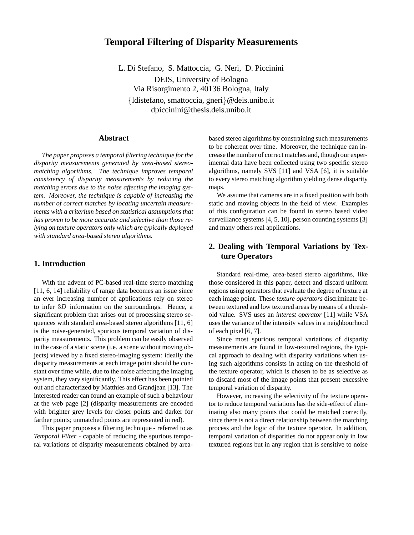# **Temporal Filtering of Disparity Measurements**

L. Di Stefano, S. Mattoccia, G. Neri, D. Piccinini DEIS, University of Bologna Via Risorgimento 2, 40136 Bologna, Italy {ldistefano, smattoccia, gneri}@deis.unibo.it dpiccinini@thesis.deis.unibo.it

#### **Abstract**

*The paper proposes a temporal filtering technique for the disparity measurements generated by area-based stereomatching algorithms. The technique improves temporal consistency of disparity measurements by reducing the matching errors due to the noise affecting the imaging system. Moreover, the technique is capable of increasing the number of correct matches by locating uncertain measurements with a criterium based on statistical assumptions that has proven to be more accurate and selective than those relying on texture operators only which are typically deployed with standard area-based stereo algorithms.*

## **1. Introduction**

With the advent of PC-based real-time stereo matching [11, 6, 14] reliability of range data becomes an issue since an ever increasing number of applications rely on stereo to infer  $3D$  information on the surroundings. Hence, a significant problem that arises out of processing stereo sequences with standard area-based stereo algorithms [11, 6] is the noise-generated, spurious temporal variation of disparity measurements. This problem can be easily observed in the case of a static scene (i.e. a scene without moving objects) viewed by a fixed stereo-imaging system: ideally the disparity measurements at each image point should be constant over time while, due to the noise affecting the imaging system, they vary significantly. This effect has been pointed out and characterized by Matthies and Grandjean [13]. The interested reader can found an example of such a behaviour at the web page [2] (disparity measurements are encoded with brighter grey levels for closer points and darker for farther points; unmatched points are represented in red).

This paper proposes a filtering technique - referred to as *Temporal Filter* - capable of reducing the spurious temporal variations of disparity measurements obtained by areabased stereo algorithms by constraining such measurements to be coherent over time. Moreover, the technique can increase the number of correct matches and, though our experimental data have been collected using two specific stereo algorithms, namely SVS [11] and VSA [6], it is suitable to every stereo matching algorithm yielding dense disparity maps.

We assume that cameras are in a fixed position with both static and moving objects in the field of view. Examples of this configuration can be found in stereo based video surveillance systems [4, 5, 10], person counting systems [3] and many others real applications.

# **2. Dealing with Temporal Variations by Texture Operators**

Standard real-time, area-based stereo algorithms, like those considered in this paper, detect and discard uniform regions using operators that evaluate the degree of texture at each image point. These *texture operators* discriminate between textured and low textured areas by means of a threshold value. SVS uses an *interest operator* [11] while VSA uses the variance of the intensity values in a neighbourhood of each pixel [6, 7].

Since most spurious temporal variations of disparity measurements are found in low-textured regions, the typical approach to dealing with disparity variations when using such algorithms consists in acting on the threshold of the texture operator, which is chosen to be as selective as to discard most of the image points that present excessive temporal variation of disparity.

However, increasing the selectivity of the texture operator to reduce temporal variations has the side-effect of eliminating also many points that could be matched correctly, since there is not a direct relationship between the matching process and the logic of the texture operator. In addition, temporal variation of disparities do not appear only in low textured regions but in any region that is sensitive to noise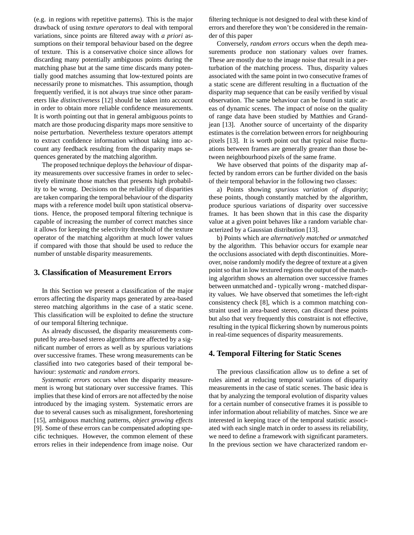(e.g. in regions with repetitive patterns). This is the major drawback of using *texture operators* to deal with temporal variations, since points are filtered away with *a priori* assumptions on their temporal behaviour based on the degree of texture. This is a conservative choice since allows for discarding many potentially ambiguous points during the matching phase but at the same time discards many potentially good matches assuming that low-textured points are necessarily prone to mismatches. This assumption, though frequently verified, it is not always true since other parameters like *distinctiveness* [12] should be taken into account in order to obtain more reliable confidence measurements. It is worth pointing out that in general ambiguous points to match are those producing disparity maps more sensitive to noise perturbation. Nevertheless texture operators attempt to extract confidence information without taking into account any feedback resulting from the disparity maps sequences generated by the matching algorithm.

The proposed technique deploys the *behaviour* of disparity measurements over successive frames in order to selectively eliminate those matches that presents high probability to be wrong. Decisions on the reliability of disparities are taken comparing the temporal behaviour of the disparity maps with a reference model built upon statistical observations. Hence, the proposed temporal filtering technique is capable of increasing the number of correct matches since it allows for keeping the selectivity threshold of the texture operator of the matching algorithm at much lower values if compared with those that should be used to reduce the number of unstable disparity measurements.

#### **3. Classification of Measurement Errors**

In this Section we present a classification of the major errors affecting the disparity maps generated by area-based stereo matching algorithms in the case of a static scene. This classification will be exploited to define the structure of our temporal filtering technique.

As already discussed, the disparity measurements computed by area-based stereo algorithms are affected by a significant number of errors as well as by spurious variations over successive frames. These wrong measurements can be classified into two categories based of their temporal behaviour: *systematic* and *random errors*.

*Systematic errors* occurs when the disparity measurement is wrong but stationary over successive frames. This implies that these kind of errors are not affected by the noise introduced by the imaging system. Systematic errors are due to several causes such as misalignment, foreshortening [15], ambiguous matching patterns, *object growing effects* [9]. Some of these errors can be compensated adopting specific techniques. However, the common element of these errors relies in their independence from image noise. Our filtering technique is not designed to deal with these kind of errors and therefore they won't be considered in the remainder of this paper

Conversely, *random errors* occurs when the depth measurements produce non stationary values over frames. These are mostly due to the image noise that result in a perturbation of the matching process. Thus, disparity values associated with the same point in two consecutive frames of a static scene are different resulting in a fluctuation of the disparity map sequence that can be easily verified by visual observation. The same behaviour can be found in static areas of dynamic scenes. The impact of noise on the quality of range data have been studied by Matthies and Grandjean [13]. Another source of uncertainty of the disparity estimates is the correlation between errors for neighbouring pixels [13]. It is worth point out that typical noise fluctuations between frames are generally greater than those between neighbourhood pixels of the same frame.

We have observed that points of the disparity map affected by random errors can be further divided on the basis of their temporal behavior in the following two classes:

a) Points showing *spurious variation of disparity*; these points, though constantly matched by the algorithm, produce spurious variations of disparity over successive frames. It has been shown that in this case the disparity value at a given point behaves like a random variable characterized by a Gaussian distribution [13].

b) Points which are *alternatively matched or unmatched* by the algorithm. This behavior occurs for example near the occlusions associated with depth discontinuities. Moreover, noise randomly modify the degree of texture at a given point so that in low textured regions the output of the matching algorithm shows an alternation over successive frames between unmatched and - typically wrong - matched disparity values. We have observed that sometimes the left-right consistency check [8], which is a common matching constraint used in area-based stereo, can discard these points but also that very frequently this constraint is not effective, resulting in the typical flickering shown by numerous points in real-time sequences of disparity measurements.

### **4. Temporal Filtering for Static Scenes**

The previous classification allow us to define a set of rules aimed at reducing temporal variations of disparity measurements in the case of static scenes. The basic idea is that by analyzing the temporal evolution of disparity values for a certain number of consecutive frames it is possible to infer information about reliability of matches. Since we are interested in keeping trace of the temporal statistic associated with each single match in order to assess its reliability, we need to define a framework with significant parameters. In the previous section we have characterized random er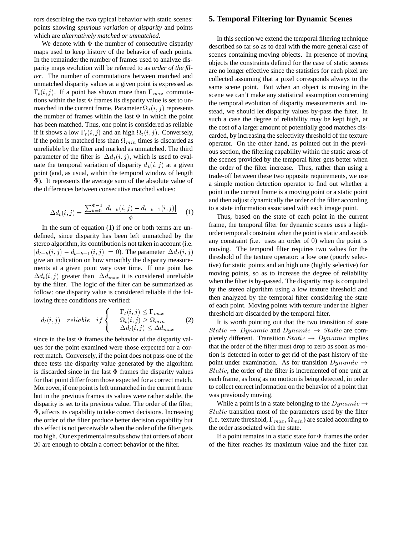rors describing the two typical behavior with static scenes: points showing *spurious variation of disparity* and points which are *alternatively matched or unmatched*.

We denote with  $\Phi$  the number of consecutive disparity maps used to keep history of the behavior of each points. In the remainder the number of frames used to analyze disparity maps evolution will be referred to as *order of the filter*. The number of commutations between matched and unmatched disparity values at a given point is expressed as  $\Gamma_t(i, j)$ . If a point has shown more than  $\Gamma_{max}$  commutations within the last  $\Phi$  frames its disparity value is set to unmatched in the current frame. Parameter  $\Omega_t(i, j)$  represents the number of frames within the last  $\Phi$  in which the point has been matched. Thus, one point is considered as reliable if it shows a low  $\Gamma_t(i, j)$  and an high  $\Omega_t(i, j)$ . Conversely, if the point is matched less than  $\Omega_{min}$  times is discarded as unreliable by the filter and marked as unmatched. The third parameter of the filter is  $\Delta d_t(i, j)$ , which is used to evaluate the temporal variation of disparity  $d_t(i, j)$  at a given point (and, as usual, within the temporal window of length  $\Phi$ ). It represents the average sum of the absolute value of the differences between consecutive matched values:

$$
\Delta d_t(i,j) = \frac{\sum_{k=0}^{\Phi-1} |d_{t-k}(i,j) - d_{t-k-1}(i,j)|}{\phi} \tag{1}
$$

In the sum of equation (1) if one or both terms are undefined, since disparity has been left unmatched by the stereo algorithm, its contribution is not taken in account (i.e.  $|d_{t-k}(i,j) - d_{t-k-1}(i,j)| = 0$ . The parameter  $\Delta d_t(i,j)$  II give an indication on how smoothly the disparity measurements at a given point vary over time. If one point has  $\Delta d_t(i, j)$  greater than  $\Delta d_{max}$  it is considered unreliable by the filter. The logic of the filter can be summarized as follow: one disparity value is considered reliable if the following three conditions are verified:

$$
d_t(i,j) \quad reliable \quad if \begin{cases} \qquad \Gamma_t(i,j) \leq \Gamma_{max} \\ \qquad \Omega_t(i,j) \geq \Omega_{min} \\ \qquad \Delta d_t(i,j) \leq \Delta d_{max} \end{cases} \tag{2}
$$

since in the last  $\Phi$  frames the behavior of the disparity values for the point examined were those expected for a correct match. Conversely, if the point does not pass one of the three tests the disparity value generated by the algorithm is discarded since in the last  $\Phi$  frames the disparity values for that point differ from those expected for a correct match. Moreover, if one point is left unmatched in the current frame but in the previous frames its values were rather stable, the disparity is set to its previous value. The order of the filter,  $\Phi$ , affects its capability to take correct decisions. Increasing the order of the filter produce better decision capability but this effect is not perceivable when the order of the filter gets too high. Our experimental results show that orders of about 20 are enough to obtain a correct behavior of the filter.

#### **5. Temporal Filtering for Dynamic Scenes**

In this section we extend the temporal filtering technique described so far so as to deal with the more general case of scenes containing moving objects. In presence of moving objects the constraints defined for the case of static scenes are no longer effective since the statistics for each pixel are collected assuming that a pixel corresponds always to the same scene point. But when an object is moving in the scene we can't make any statistical assumption concerning the temporal evolution of disparity measurements and, instead, we should let disparity values by-pass the filter. In such a case the degree of reliability may be kept high, at the cost of a larger amount of potentially good matches discarded, by increasing the selectivity threshold of the texture operator. On the other hand, as pointed out in the previous section, the filtering capability within the static areas of the scenes provided by the temporal filter gets better when the order of the filter increase. Thus, rather than using a trade-off between these two opposite requirements, we use a simple motion detection operator to find out whether a point in the current frame is a moving point or a static point and then adjust dynamically the order of the filter according to a state information associated with each image point.

Thus, based on the state of each point in the current frame, the temporal filter for dynamic scenes uses a highorder temporal constraint when the point is static and avoids any constraint (i.e. uses an order of  $0$ ) when the point is moving. The temporal filter requires two values for the threshold of the texture operator: a low one (poorly selective) for static points and an high one (highly selective) for moving points, so as to increase the degree of reliability when the filter is by-passed. The disparity map is computed by the stereo algorithm using a low texture threshold and then analyzed by the temporal filter considering the state of each point. Moving points with texture under the higher threshold are discarded by the temporal filter.

It is worth pointing out that the two transition of state Static  $\rightarrow$  Dynamic and Dynamic  $\rightarrow$  Static are completely different. Transition  $Static \rightarrow Dynamic$  implies that the order of the filter must drop to zero as soon as motion is detected in order to get rid of the past history of the point under examination. As for transition  $Dynamic \rightarrow$ Static, the order of the filter is incremented of one unit at each frame, as long as no motion is being detected, in order to collect correct information on the behavior of a point that was previously moving.

While a point is in a state belonging to the  $Dynamic \rightarrow$ Static transition most of the parameters used by the filter (i.e. texture threshold,  $\Gamma_{max}$ ,  $\Omega_{min}$ ) are scaled according to the order associated with the state.

If a point remains in a static state for  $\Phi$  frames the order of the filter reaches its maximum value and the filter can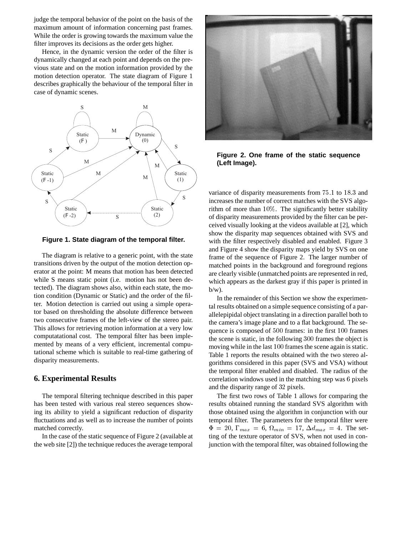judge the temporal behavior of the point on the basis of the maximum amount of information concerning past frames. While the order is growing towards the maximum value the filter improves its decisions as the order gets higher.

Hence, in the dynamic version the order of the filter is dynamically changed at each point and depends on the previous state and on the motion information provided by the motion detection operator. The state diagram of Figure 1 describes graphically the behaviour of the temporal filter in case of dynamic scenes.



**Figure 1. State diagram of the temporal filter.**

The diagram is relative to a generic point, with the state transitions driven by the output of the motion detection operator at the point: M means that motion has been detected while S means static point (i.e. motion has not been detected). The diagram shows also, within each state, the motion condition (Dynamic or Static) and the order of the filter. Motion detection is carried out using a simple operator based on thresholding the absolute difference between two consecutive frames of the left-view of the stereo pair. This allows for retrieving motion information at a very low computatational cost. The temporal filter has been implemented by means of a very efficient, incremental computational scheme which is suitable to real-time gathering of disparity measurements.

### **6. Experimental Results**

The temporal filtering technique described in this paper has been tested with various real stereo sequences showing its ability to yield a significant reduction of disparity fluctuations and as well as to increase the number of points matched correctly.

In the case of the static sequence of Figure 2 (available at the web site [2]) the technique reduces the average temporal



**Figure 2. One frame of the static sequence (Left Image).**

variance of disparity measurements from  $75.1$  to  $18.3$  and increases the number of correct matches with the SVS algorithm of more than  $10\%$ . The significantly better stability of disparity measurements provided by the filter can be perceived visually looking at the videos available at [2], which show the disparity map sequences obtained with SVS and with the filter respectively disabled and enabled. Figure 3 and Figure 4 show the disparity maps yield by SVS on one frame of the sequence of Figure 2. The larger number of matched points in the background and foreground regions are clearly visible (unmatched points are represented in red, which appears as the darkest gray if this paper is printed in  $b/w$ ).

In the remainder of this Section we show the experimental results obtained on a simple sequence consisting of a parallelepipidal object translating in a direction parallel both to the camera's image plane and to a flat background. The sequence is composed of  $500$  frames: in the first  $100$  frames the scene is static, in the following  $300$  frames the object is moving while in the last 100 frames the scene again is static. Table 1 reports the results obtained with the two stereo algorithms considered in this paper (SVS and VSA) without the temporal filter enabled and disabled. The radius of the correlation windows used in the matching step was 6 pixels and the disparity range of 32 pixels.

The first two rows of Table 1 allows for comparing the results obtained running the standard SVS algorithm with those obtained using the algorithm in conjunction with our temporal filter. The parameters for the temporal filter were  $\Phi = 20$ ,  $\Gamma_{max} = 6$ ,  $\Omega_{min} = 17$ ,  $\Delta d_{max} = 4$ . The setting of the texture operator of SVS, when not used in conjunction with the temporal filter, was obtained following the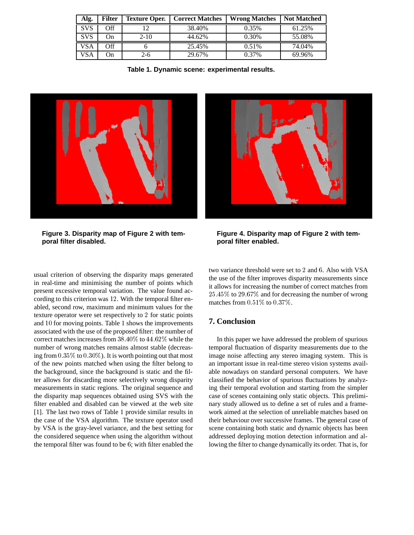| Alg.       | <b>Filter</b> | <b>Texture Oper.</b> | <b>Correct Matches</b> | <b>Wrong Matches</b> | <b>Not Matched</b> |
|------------|---------------|----------------------|------------------------|----------------------|--------------------|
| <b>SVS</b> | Off           |                      | 38.40%                 | 0.35%                | 61.25%             |
| <b>SVS</b> | Оn            | $2 - 10$             | 44.62%                 | 0.30%                | 55.08%             |
| VSA        | Off           |                      | 25.45%                 | 0.51%                | 74.04%             |
| VSA        | On.           | $2 - 6$              | 29.67%                 | 0.37%                | 69.96%             |

**Table 1. Dynamic scene: experimental results.**





**Figure 3. Disparity map of Figure 2 with temporal filter disabled.**

**Figure 4. Disparity map of Figure 2 with temporal filter enabled.**

usual criterion of observing the disparity maps generated in real-time and minimising the number of points which present excessive temporal variation. The value found according to this criterion was 12. With the temporal filter enabled, second row, maximum and minimum values for the texture operator were set respectively to 2 for static points and 10 for moving points. Table 1 shows the improvements associated with the use of the proposed filter: the number of correct matches increases from  $38.40\%$  to  $44.62\%$  while the number of wrong matches remains almost stable (decreasing from  $0.35\%$  to  $0.30\%$ ). It is worth pointing out that most of the new points matched when using the filter belong to the background, since the background is static and the filter allows for discarding more selectively wrong disparity measurements in static regions. The original sequence and the disparity map sequences obtained using SVS with the filter enabled and disabled can be viewed at the web site [1]. The last two rows of Table 1 provide similar results in the case of the VSA algorithm. The texture operator used by VSA is the gray-level variance, and the best setting for the considered sequence when using the algorithm without the temporal filter was found to be 6; with filter enabled the

two variance threshold were set to 2 and 6. Also with VSA the use of the filter improves disparity measurements since it allows for increasing the number of correct matches from  $25.45\%$  to  $29.67\%$  and for decreasing the number of wrong matches from  $0.51\%$  to  $0.37\%.$ 

# **7. Conclusion**

In this paper we have addressed the problem of spurious temporal fluctuation of disparity measurements due to the image noise affecting any stereo imaging system. This is an important issue in real-time stereo vision systems available nowadays on standard personal computers. We have classified the behavior of spurious fluctuations by analyzing their temporal evolution and starting from the simpler case of scenes containing only static objects. This preliminary study allowed us to define a set of rules and a framework aimed at the selection of unreliable matches based on their behaviour over successive frames. The general case of scene containing both static and dynamic objects has been addressed deploying motion detection information and allowing the filter to change dynamically its order. That is, for